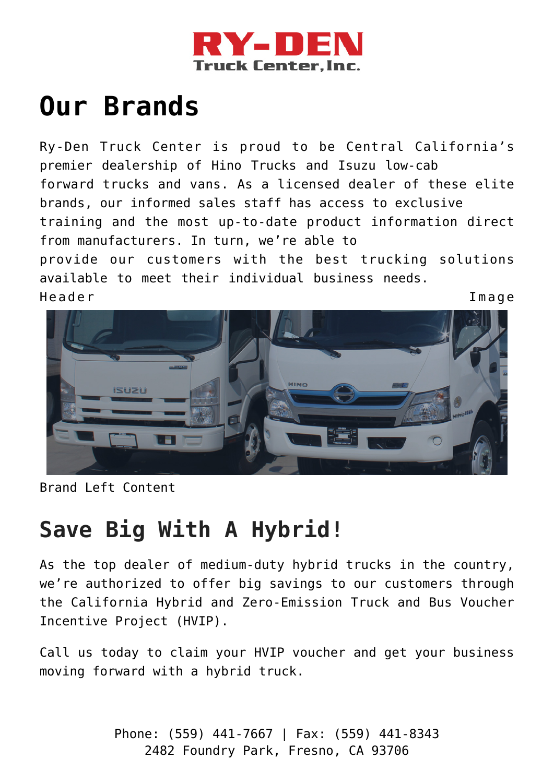

## **[Our Brands](https://ry-den.com/our-brands/)**

Ry-Den Truck Center is proud to be Central California's premier dealership of Hino Trucks and Isuzu low-cab forward trucks and vans. As a licensed dealer of these elite brands, our informed sales staff has access to exclusive training and the most up-to-date product information direct from manufacturers. In turn, we're able to provide our customers with the best trucking solutions available to meet their individual business needs. Header Image



Brand Left Content

## **Save Big With A Hybrid!**

As the top dealer of medium-duty hybrid trucks in the country, we're authorized to offer big savings to our customers through the California Hybrid and Zero-Emission Truck and Bus Voucher Incentive Project (HVIP).

Call us today to claim your HVIP voucher and get your business moving forward with a hybrid truck.

> Phone: (559) 441-7667 | Fax: (559) 441-8343 2482 Foundry Park, Fresno, CA 93706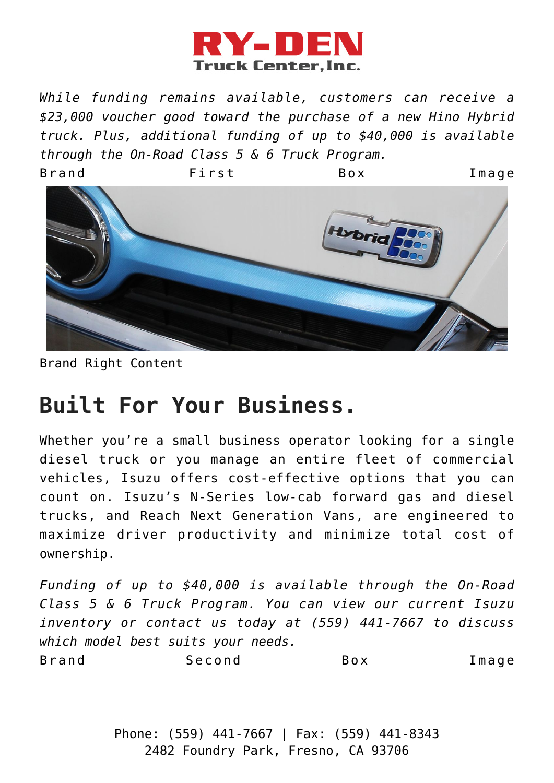

*While funding remains available, customers can receive a \$23,000 voucher good toward the purchase of a new Hino Hybrid truck. Plus, additional funding of up to \$40,000 is available through the On-Road Class 5 & 6 Truck Program.*



Brand Right Content

## **Built For Your Business.**

Whether you're a small business operator looking for a single diesel truck or you manage an entire fleet of commercial vehicles, Isuzu offers cost-effective options that you can count on. Isuzu's N-Series low-cab forward gas and diesel trucks, and Reach Next Generation Vans, are engineered to maximize driver productivity and minimize total cost of ownership.

*Funding of up to \$40,000 is available through the On-Road Class 5 & 6 Truck Program. You can view our current Isuzu inventory or contact us today at (559) 441-7667 to discuss which model best suits your needs.* Brand Second Box Image

> Phone: (559) 441-7667 | Fax: (559) 441-8343 2482 Foundry Park, Fresno, CA 93706